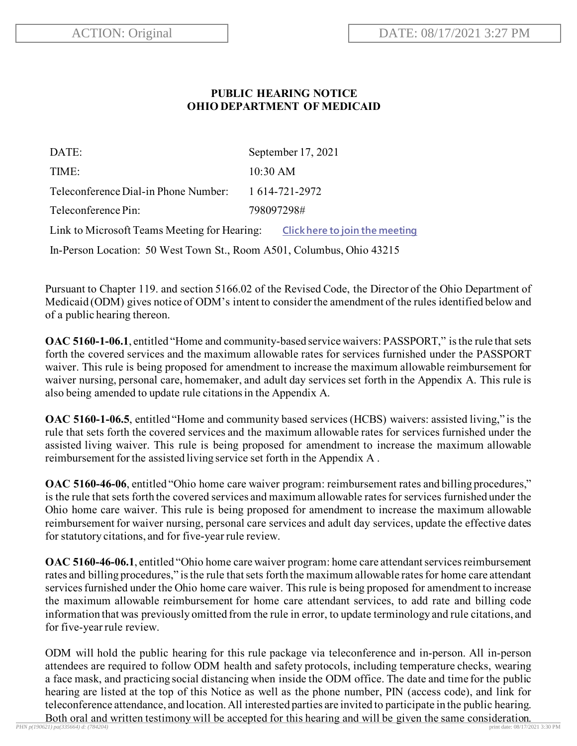## **PUBLIC HEARING NOTICE OHIO DEPARTMENT OF MEDICAID**

| DATE:                                                                 | September 17, 2021 |                                |
|-----------------------------------------------------------------------|--------------------|--------------------------------|
| TIME:                                                                 | 10:30 AM           |                                |
| Teleconference Dial-in Phone Number:                                  | 1 614-721-2972     |                                |
| Teleconference Pin:                                                   | 798097298#         |                                |
| Link to Microsoft Teams Meeting for Hearing:                          |                    | Click here to join the meeting |
| In-Person Location: 50 West Town St., Room A501, Columbus, Ohio 43215 |                    |                                |

Pursuant to Chapter 119. and section 5166.02 of the Revised Code, the Director of the Ohio Department of Medicaid (ODM) gives notice of ODM's intent to consider the amendment of the rules identified below and of a public hearing thereon.

**OAC 5160-1-06.1**, entitled "Home and community-based service waivers: PASSPORT," is the rule that sets forth the covered services and the maximum allowable rates for services furnished under the PASSPORT waiver. This rule is being proposed for amendment to increase the maximum allowable reimbursement for waiver nursing, personal care, homemaker, and adult day services set forth in the Appendix A. This rule is also being amended to update rule citations in the Appendix A.

**OAC 5160-1-06.5**, entitled "Home and community based services (HCBS) waivers: assisted living," is the rule that sets forth the covered services and the maximum allowable rates for services furnished under the assisted living waiver. This rule is being proposed for amendment to increase the maximum allowable reimbursement for the assisted living service set forth in the Appendix A .

**OAC 5160-46-06**, entitled "Ohio home care waiver program: reimbursement rates and billing procedures," is the rule that sets forth the covered services and maximum allowable rates for services furnished under the Ohio home care waiver. This rule is being proposed for amendment to increase the maximum allowable reimbursement for waiver nursing, personal care services and adult day services, update the effective dates for statutory citations, and for five-year rule review.

**OAC 5160-46-06.1**, entitled "Ohio home care waiver program: home care attendant services reimbursement rates and billing procedures," is the rule that sets forth the maximum allowable rates for home care attendant services furnished under the Ohio home care waiver. This rule is being proposed for amendment to increase the maximum allowable reimbursement for home care attendant services, to add rate and billing code information that was previously omitted from the rule in error, to update terminology and rule citations, and for five-year rule review.

ODM will hold the public hearing for this rule package via teleconference and in-person. All in-person attendees are required to follow ODM health and safety protocols, including temperature checks, wearing a face mask, and practicing social distancing when inside the ODM office. The date and time for the public hearing are listed at the top of this Notice as well as the phone number, PIN (access code), and link for teleconference attendance, and location. All interested parties are invited to participate in the public hearing. Both oral and written testimony will be accepted for this hearing and will be given the same consideration.<br>21) pa(335664) d: (784204) print date: 08/17/2021 3:30 PM